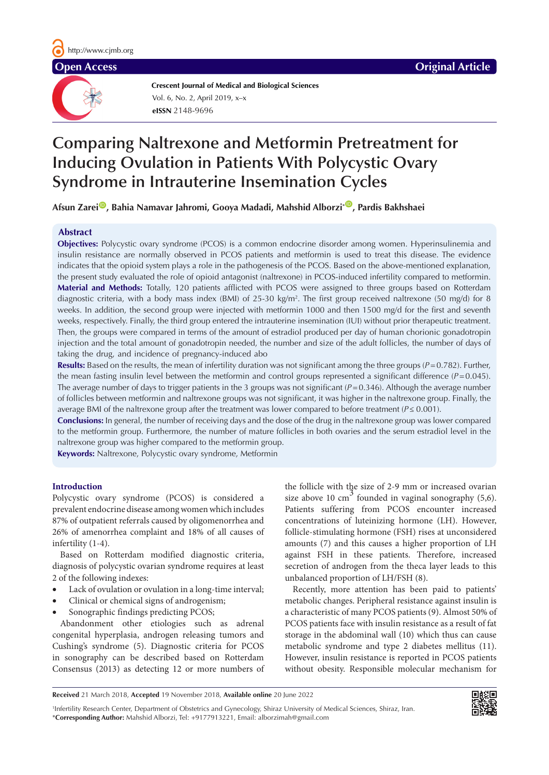**Crescent Journal of Medical and Biological Sciences eISSN** 2148-9696 Vol. 6, No. 2, April 2019, x–x

# **Comparing Naltrexone and Metformin Pretreatment for Inducing Ovulation in Patients With Polycystic Ovary Syndrome in Intrauterine Insemination Cycles**

Afsun Zarei<sup>®</sup>, Bahia Namavar Jahromi, Gooya Madadi, Mahshid Alborzi<sup>\*®</sup>, Pardis Bakhshaei

# **Abstract**

**Objectives:** Polycystic ovary syndrome (PCOS) is a common endocrine disorder among women. Hyperinsulinemia and insulin resistance are normally observed in PCOS patients and metformin is used to treat this disease. The evidence indicates that the opioid system plays a role in the pathogenesis of the PCOS. Based on the above-mentioned explanation, the present study evaluated the role of opioid antagonist (naltrexone) in PCOS-induced infertility compared to metformin. **Material and Methods:** Totally, 120 patients afflicted with PCOS were assigned to three groups based on Rotterdam diagnostic criteria, with a body mass index (BMI) of 25-30 kg/m2 . The first group received naltrexone (50 mg/d) for 8 weeks. In addition, the second group were injected with metformin 1000 and then 1500 mg/d for the first and seventh weeks, respectively. Finally, the third group entered the intrauterine insemination (IUI) without prior therapeutic treatment. Then, the groups were compared in terms of the amount of estradiol produced per day of human chorionic gonadotropin injection and the total amount of gonadotropin needed, the number and size of the adult follicles, the number of days of taking the drug, and incidence of pregnancy-induced abo

**Results:** Based on the results, the mean of infertility duration was not significant among the three groups (*P*=0.782). Further, the mean fasting insulin level between the metformin and control groups represented a significant difference  $(P=0.045)$ . The average number of days to trigger patients in the 3 groups was not significant  $(P=0.346)$ . Although the average number of follicles between metformin and naltrexone groups was not significant, it was higher in the naltrexone group. Finally, the average BMI of the naltrexone group after the treatment was lower compared to before treatment (*P*≤ 0.001).

**Conclusions:** In general, the number of receiving days and the dose of the drug in the naltrexone group was lower compared to the metformin group. Furthermore, the number of mature follicles in both ovaries and the serum estradiol level in the naltrexone group was higher compared to the metformin group.

**Keywords:** Naltrexone, Polycystic ovary syndrome, Metformin

# **Introduction**

Polycystic ovary syndrome (PCOS) is considered a prevalent endocrine disease among women which includes 87% of outpatient referrals caused by oligomenorrhea and 26% of amenorrhea complaint and 18% of all causes of infertility (1-4).

Based on Rotterdam modified diagnostic criteria, diagnosis of polycystic ovarian syndrome requires at least 2 of the following indexes:

- Lack of ovulation or ovulation in a long-time interval;
- Clinical or chemical signs of androgenism;
- Sonographic findings predicting PCOS;

Abandonment other etiologies such as adrenal congenital hyperplasia, androgen releasing tumors and Cushing's syndrome (5). Diagnostic criteria for PCOS in sonography can be described based on Rotterdam Consensus (2013) as detecting 12 or more numbers of the follicle with the size of 2-9 mm or increased ovarian size above 10 cm<sup>3</sup> founded in vaginal sonography  $(5,6)$ . Patients suffering from PCOS encounter increased concentrations of luteinizing hormone (LH). However, follicle-stimulating hormone (FSH) rises at unconsidered amounts (7) and this causes a higher proportion of LH against FSH in these patients. Therefore, increased secretion of androgen from the theca layer leads to this unbalanced proportion of LH/FSH (8).

Recently, more attention has been paid to patients' metabolic changes. Peripheral resistance against insulin is a characteristic of many PCOS patients (9). Almost 50% of PCOS patients face with insulin resistance as a result of fat storage in the abdominal wall (10) which thus can cause metabolic syndrome and type 2 diabetes mellitus (11). However, insulin resistance is reported in PCOS patients without obesity. Responsible molecular mechanism for

**Received** 21 March 2018, **Accepted** 19 November 2018, **Available online** 20 June 2022

1 Infertility Research Center, Department of Obstetrics and Gynecology, Shiraz University of Medical Sciences, Shiraz, Iran. \***Corresponding Author:** Mahshid Alborzi, Tel: +9177913221, Email: alborzimah@gmail.com

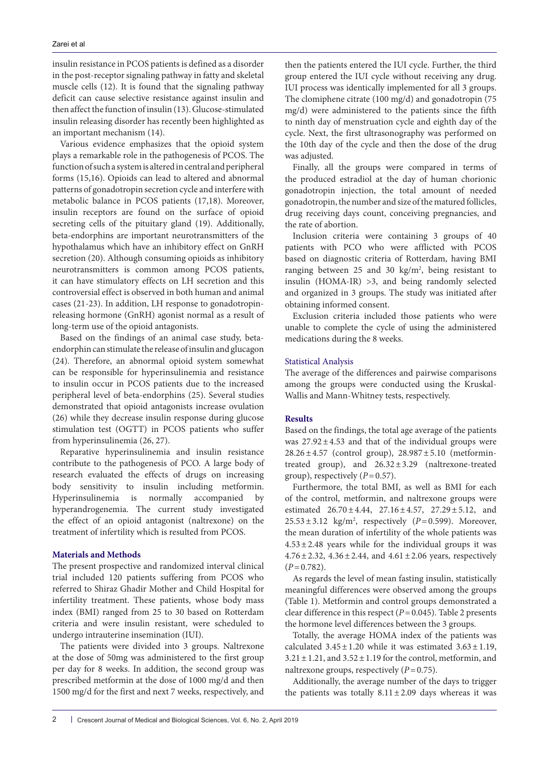insulin resistance in PCOS patients is defined as a disorder in the post-receptor signaling pathway in fatty and skeletal muscle cells (12). It is found that the signaling pathway deficit can cause selective resistance against insulin and then affect the function of insulin (13). Glucose-stimulated insulin releasing disorder has recently been highlighted as an important mechanism (14).

Various evidence emphasizes that the opioid system plays a remarkable role in the pathogenesis of PCOS. The function of such a system is altered in central and peripheral forms (15,16). Opioids can lead to altered and abnormal patterns of gonadotropin secretion cycle and interfere with metabolic balance in PCOS patients (17,18). Moreover, insulin receptors are found on the surface of opioid secreting cells of the pituitary gland (19). Additionally, beta-endorphins are important neurotransmitters of the hypothalamus which have an inhibitory effect on GnRH secretion (20). Although consuming opioids as inhibitory neurotransmitters is common among PCOS patients, it can have stimulatory effects on LH secretion and this controversial effect is observed in both human and animal cases (21-23). In addition, LH response to gonadotropinreleasing hormone (GnRH) agonist normal as a result of long-term use of the opioid antagonists.

Based on the findings of an animal case study, betaendorphin can stimulate the release of insulin and glucagon (24). Therefore, an abnormal opioid system somewhat can be responsible for hyperinsulinemia and resistance to insulin occur in PCOS patients due to the increased peripheral level of beta-endorphins (25). Several studies demonstrated that opioid antagonists increase ovulation (26) while they decrease insulin response during glucose stimulation test (OGTT) in PCOS patients who suffer from hyperinsulinemia (26, 27).

Reparative hyperinsulinemia and insulin resistance contribute to the pathogenesis of PCO. A large body of research evaluated the effects of drugs on increasing body sensitivity to insulin including metformin. Hyperinsulinemia is normally accompanied by hyperandrogenemia. The current study investigated the effect of an opioid antagonist (naltrexone) on the treatment of infertility which is resulted from PCOS.

# **Materials and Methods**

The present prospective and randomized interval clinical trial included 120 patients suffering from PCOS who referred to Shiraz Ghadir Mother and Child Hospital for infertility treatment. These patients, whose body mass index (BMI) ranged from 25 to 30 based on Rotterdam criteria and were insulin resistant, were scheduled to undergo intrauterine insemination (IUI).

The patients were divided into 3 groups. Naltrexone at the dose of 50mg was administered to the first group per day for 8 weeks. In addition, the second group was prescribed metformin at the dose of 1000 mg/d and then 1500 mg/d for the first and next 7 weeks, respectively, and

then the patients entered the IUI cycle. Further, the third group entered the IUI cycle without receiving any drug. IUI process was identically implemented for all 3 groups. The clomiphene citrate (100 mg/d) and gonadotropin (75 mg/d) were administered to the patients since the fifth to ninth day of menstruation cycle and eighth day of the cycle. Next, the first ultrasonography was performed on the 10th day of the cycle and then the dose of the drug was adjusted.

Finally, all the groups were compared in terms of the produced estradiol at the day of human chorionic gonadotropin injection, the total amount of needed gonadotropin, the number and size of the matured follicles, drug receiving days count, conceiving pregnancies, and the rate of abortion.

Inclusion criteria were containing 3 groups of 40 patients with PCO who were afflicted with PCOS based on diagnostic criteria of Rotterdam, having BMI ranging between  $25$  and  $30 \text{ kg/m}^2$ , being resistant to insulin (HOMA-IR) >3, and being randomly selected and organized in 3 groups. The study was initiated after obtaining informed consent.

Exclusion criteria included those patients who were unable to complete the cycle of using the administered medications during the 8 weeks.

# Statistical Analysis

The average of the differences and pairwise comparisons among the groups were conducted using the Kruskal-Wallis and Mann-Whitney tests, respectively.

## **Results**

Based on the findings, the total age average of the patients was  $27.92 \pm 4.53$  and that of the individual groups were  $28.26 \pm 4.57$  (control group),  $28.987 \pm 5.10$  (metformintreated group), and 26.32±3.29 (naltrexone-treated group), respectively (*P*=0.57).

Furthermore, the total BMI, as well as BMI for each of the control, metformin, and naltrexone groups were estimated  $26.70 \pm 4.44$ ,  $27.16 \pm 4.57$ ,  $27.29 \pm 5.12$ , and  $25.53 \pm 3.12$  kg/m<sup>2</sup>, respectively ( $P=0.599$ ). Moreover, the mean duration of infertility of the whole patients was  $4.53 \pm 2.48$  years while for the individual groups it was  $4.76 \pm 2.32$ ,  $4.36 \pm 2.44$ , and  $4.61 \pm 2.06$  years, respectively  $(P=0.782)$ .

As regards the level of mean fasting insulin, statistically meaningful differences were observed among the groups (Table 1). Metformin and control groups demonstrated a clear difference in this respect (*P*=0.045). Table 2 presents the hormone level differences between the 3 groups.

Totally, the average HOMA index of the patients was calculated  $3.45 \pm 1.20$  while it was estimated  $3.63 \pm 1.19$ ,  $3.21 \pm 1.21$ , and  $3.52 \pm 1.19$  for the control, metformin, and naltrexone groups, respectively (*P*=0.75).

Additionally, the average number of the days to trigger the patients was totally  $8.11 \pm 2.09$  days whereas it was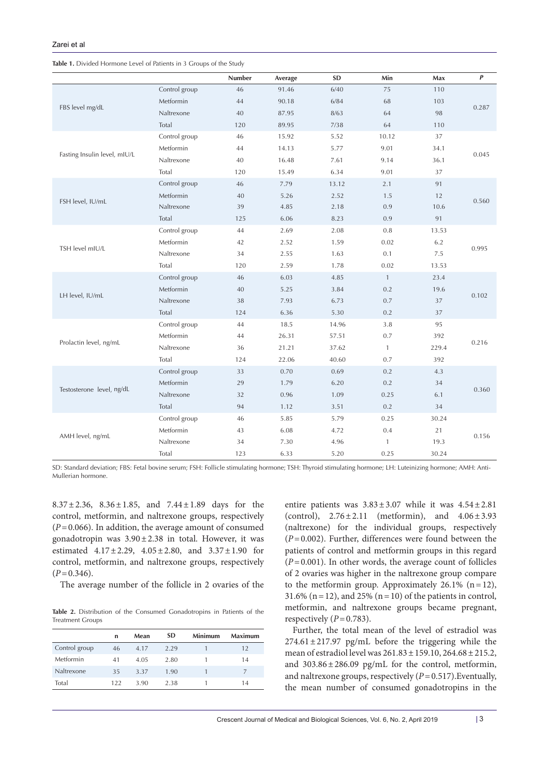| Table 1. Divided Hormone Level of Patients in 3 Groups of the Study |
|---------------------------------------------------------------------|
|---------------------------------------------------------------------|

|                              |               | Number | Average | <b>SD</b> | Min          | Max   | $\pmb{P}$ |
|------------------------------|---------------|--------|---------|-----------|--------------|-------|-----------|
| FBS level mg/dL              | Control group | 46     | 91.46   | 6/40      | 75           | 110   | 0.287     |
|                              | Metformin     | 44     | 90.18   | 6/84      | 68           | 103   |           |
|                              | Naltrexone    | 40     | 87.95   | 8/63      | 64           | 98    |           |
|                              | Total         | 120    | 89.95   | 7/38      | 64           | 110   |           |
| Fasting Insulin level, mIU/L | Control group | 46     | 15.92   | 5.52      | 10.12        | 37    | 0.045     |
|                              | Metformin     | 44     | 14.13   | 5.77      | 9.01         | 34.1  |           |
|                              | Naltrexone    | 40     | 16.48   | 7.61      | 9.14         | 36.1  |           |
|                              | Total         | 120    | 15.49   | 6.34      | 9.01         | 37    |           |
|                              | Control group | 46     | 7.79    | 13.12     | 2.1          | 91    | 0.560     |
|                              | Metformin     | 40     | 5.26    | 2.52      | 1.5          | 12    |           |
| FSH level, IU/mL             | Naltrexone    | 39     | 4.85    | 2.18      | 0.9          | 10.6  |           |
|                              | Total         | 125    | 6.06    | 8.23      | 0.9          | 91    |           |
|                              | Control group | 44     | 2.69    | 2.08      | 0.8          | 13.53 | 0.995     |
| TSH level mIU/L              | Metformin     | 42     | 2.52    | 1.59      | 0.02         | 6.2   |           |
|                              | Naltrexone    | 34     | 2.55    | 1.63      | 0.1          | 7.5   |           |
|                              | Total         | 120    | 2.59    | 1.78      | 0.02         | 13.53 |           |
| LH level, IU/mL              | Control group | 46     | 6.03    | 4.85      | $\mathbf{1}$ | 23.4  | 0.102     |
|                              | Metformin     | 40     | 5.25    | 3.84      | 0.2          | 19.6  |           |
|                              | Naltrexone    | 38     | 7.93    | 6.73      | 0.7          | 37    |           |
|                              | Total         | 124    | 6.36    | 5.30      | 0.2          | 37    |           |
| Prolactin level, ng/mL       | Control group | 44     | 18.5    | 14.96     | 3.8          | 95    | 0.216     |
|                              | Metformin     | 44     | 26.31   | 57.51     | 0.7          | 392   |           |
|                              | Naltrexone    | 36     | 21.21   | 37.62     | $\mathbf{1}$ | 229.4 |           |
|                              | Total         | 124    | 22.06   | 40.60     | 0.7          | 392   |           |
| Testosterone level, ng/dL    | Control group | 33     | 0.70    | 0.69      | 0.2          | 4.3   | 0.360     |
|                              | Metformin     | 29     | 1.79    | 6.20      | 0.2          | 34    |           |
|                              | Naltrexone    | 32     | 0.96    | 1.09      | 0.25         | 6.1   |           |
|                              | Total         | 94     | 1.12    | 3.51      | 0.2          | 34    |           |
| AMH level, ng/mL             | Control group | 46     | 5.85    | 5.79      | 0.25         | 30.24 |           |
|                              | Metformin     | 43     | 6.08    | 4.72      | 0.4          | 21    |           |
|                              | Naltrexone    | 34     | 7.30    | 4.96      | $\mathbf{1}$ | 19.3  | 0.156     |
|                              | Total         | 123    | 6.33    | 5.20      | 0.25         | 30.24 |           |

SD: Standard deviation; FBS: Fetal bovine serum; FSH: Follicle stimulating hormone; TSH: Thyroid stimulating hormone; LH: Luteinizing hormone; AMH: Anti-Mullerian hormone.

8.37±2.36, 8.36±1.85, and 7.44±1.89 days for the control, metformin, and naltrexone groups, respectively (*P*=0.066). In addition, the average amount of consumed gonadotropin was  $3.90 \pm 2.38$  in total. However, it was estimated  $4.17 \pm 2.29$ ,  $4.05 \pm 2.80$ , and  $3.37 \pm 1.90$  for control, metformin, and naltrexone groups, respectively  $(P=0.346)$ .

The average number of the follicle in 2 ovaries of the

**Table 2.** Distribution of the Consumed Gonadotropins in Patients of the Treatment Groups

|               | n   | Mean | <b>SD</b> | <b>Minimum</b> | Maximum |
|---------------|-----|------|-----------|----------------|---------|
| Control group | 46  | 4.17 | 2.29      |                | 12      |
| Metformin     | 41  | 4.05 | 2.80      |                | 14      |
| Naltrexone    | 35  | 3.37 | 1.90      |                |         |
| Total         | 122 | 3.90 | 2.38      |                | 14      |

entire patients was  $3.83 \pm 3.07$  while it was  $4.54 \pm 2.81$ (control),  $2.76 \pm 2.11$  (metformin), and  $4.06 \pm 3.93$ (naltrexone) for the individual groups, respectively (*P*=0.002). Further, differences were found between the patients of control and metformin groups in this regard  $(P=0.001)$ . In other words, the average count of follicles of 2 ovaries was higher in the naltrexone group compare to the metformin group. Approximately  $26.1\%$  (n=12), 31.6% ( $n=12$ ), and 25% ( $n=10$ ) of the patients in control, metformin, and naltrexone groups became pregnant, respectively  $(P=0.783)$ .

Further, the total mean of the level of estradiol was  $274.61 \pm 217.97$  pg/mL before the triggering while the mean of estradiol level was 261.83±159.10, 264.68±215.2, and 303.86±286.09 pg/mL for the control, metformin, and naltrexone groups, respectively  $(P=0.517)$ . Eventually, the mean number of consumed gonadotropins in the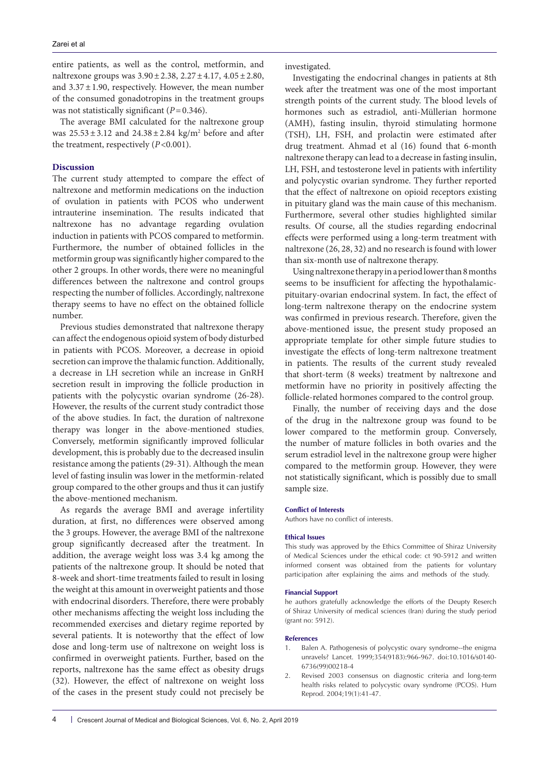entire patients, as well as the control, metformin, and naltrexone groups was  $3.90 \pm 2.38$ ,  $2.27 \pm 4.17$ ,  $4.05 \pm 2.80$ , and  $3.37 \pm 1.90$ , respectively. However, the mean number of the consumed gonadotropins in the treatment groups was not statistically significant ( $P=0.346$ ).

The average BMI calculated for the naltrexone group was  $25.53 \pm 3.12$  and  $24.38 \pm 2.84$  kg/m<sup>2</sup> before and after the treatment, respectively (*P*<0.001).

### **Discussion**

The current study attempted to compare the effect of naltrexone and metformin medications on the induction of ovulation in patients with PCOS who underwent intrauterine insemination. The results indicated that naltrexone has no advantage regarding ovulation induction in patients with PCOS compared to metformin. Furthermore, the number of obtained follicles in the metformin group was significantly higher compared to the other 2 groups. In other words, there were no meaningful differences between the naltrexone and control groups respecting the number of follicles. Accordingly, naltrexone therapy seems to have no effect on the obtained follicle number.

Previous studies demonstrated that naltrexone therapy can affect the endogenous opioid system of body disturbed in patients with PCOS. Moreover, a decrease in opioid secretion can improve the thalamic function. Additionally, a decrease in LH secretion while an increase in GnRH secretion result in improving the follicle production in patients with the polycystic ovarian syndrome (26-28). However, the results of the current study contradict those of the above studies. In fact, the duration of naltrexone therapy was longer in the above-mentioned studies. Conversely, metformin significantly improved follicular development, this is probably due to the decreased insulin resistance among the patients (29-31). Although the mean level of fasting insulin was lower in the metformin-related group compared to the other groups and thus it can justify the above-mentioned mechanism.

As regards the average BMI and average infertility duration, at first, no differences were observed among the 3 groups. However, the average BMI of the naltrexone group significantly decreased after the treatment. In addition, the average weight loss was 3.4 kg among the patients of the naltrexone group. It should be noted that 8-week and short-time treatments failed to result in losing the weight at this amount in overweight patients and those with endocrinal disorders. Therefore, there were probably other mechanisms affecting the weight loss including the recommended exercises and dietary regime reported by several patients. It is noteworthy that the effect of low dose and long-term use of naltrexone on weight loss is confirmed in overweight patients. Further, based on the reports, naltrexone has the same effect as obesity drugs (32). However, the effect of naltrexone on weight loss of the cases in the present study could not precisely be

investigated.

Investigating the endocrinal changes in patients at 8th week after the treatment was one of the most important strength points of the current study. The blood levels of hormones such as estradiol, anti-Müllerian hormone (AMH), fasting insulin, thyroid stimulating hormone (TSH), LH, FSH, and prolactin were estimated after drug treatment. Ahmad et al (16) found that 6-month naltrexone therapy can lead to a decrease in fasting insulin, LH, FSH, and testosterone level in patients with infertility and polycystic ovarian syndrome. They further reported that the effect of naltrexone on opioid receptors existing in pituitary gland was the main cause of this mechanism. Furthermore, several other studies highlighted similar results. Of course, all the studies regarding endocrinal effects were performed using a long-term treatment with naltrexone (26, 28, 32) and no research is found with lower than six-month use of naltrexone therapy.

Using naltrexone therapy in a period lower than 8 months seems to be insufficient for affecting the hypothalamicpituitary-ovarian endocrinal system. In fact, the effect of long-term naltrexone therapy on the endocrine system was confirmed in previous research. Therefore, given the above-mentioned issue, the present study proposed an appropriate template for other simple future studies to investigate the effects of long-term naltrexone treatment in patients. The results of the current study revealed that short-term (8 weeks) treatment by naltrexone and metformin have no priority in positively affecting the follicle-related hormones compared to the control group.

Finally, the number of receiving days and the dose of the drug in the naltrexone group was found to be lower compared to the metformin group. Conversely, the number of mature follicles in both ovaries and the serum estradiol level in the naltrexone group were higher compared to the metformin group. However, they were not statistically significant, which is possibly due to small sample size.

#### **Conflict of Interests**

Authors have no conflict of interests.

#### **Ethical Issues**

This study was approved by the Ethics Committee of Shiraz University of Medical Sciences under the ethical code: ct 90-5912 and written informed consent was obtained from the patients for voluntary participation after explaining the aims and methods of the study.

#### **Financial Support**

he authors gratefully acknowledge the efforts of the Deupty Reserch of Shiraz University of medical sciences (Iran) during the study period (grant no: 5912).

#### **References**

- 1. Balen A. Pathogenesis of polycystic ovary syndrome--the enigma unravels? Lancet. 1999;354(9183):966-967. doi:10.1016/s0140- 6736(99)00218-4
- 2. Revised 2003 consensus on diagnostic criteria and long-term health risks related to polycystic ovary syndrome (PCOS). Hum Reprod. 2004;19(1):41-47.